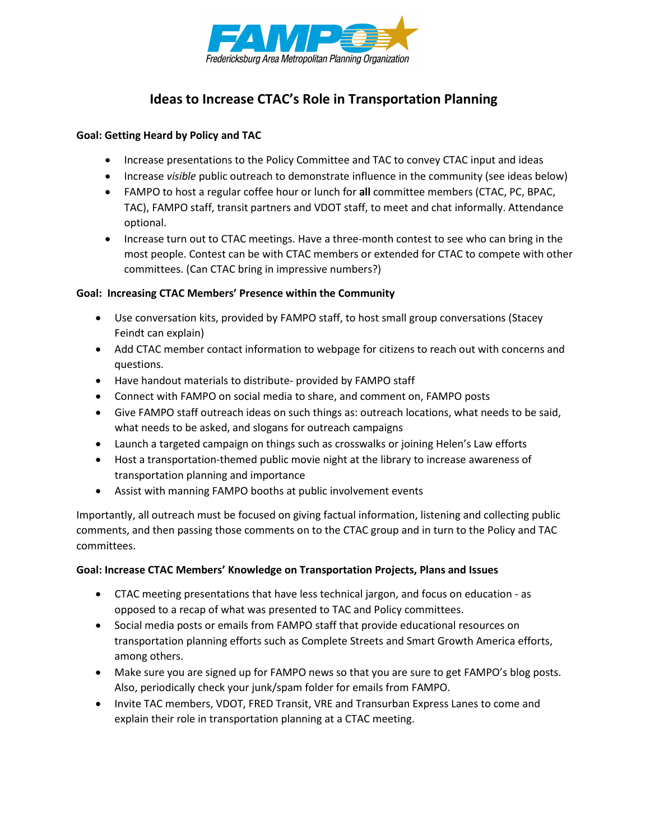

## **Ideas to Increase CTAC's Role in Transportation Planning**

#### **Goal: Getting Heard by Policy and TAC**

- Increase presentations to the Policy Committee and TAC to convey CTAC input and ideas
- Increase *visible* public outreach to demonstrate influence in the community (see ideas below)
- FAMPO to host a regular coffee hour or lunch for **all** committee members (CTAC, PC, BPAC, TAC), FAMPO staff, transit partners and VDOT staff, to meet and chat informally. Attendance optional.
- Increase turn out to CTAC meetings. Have a three-month contest to see who can bring in the most people. Contest can be with CTAC members or extended for CTAC to compete with other committees. (Can CTAC bring in impressive numbers?)

#### **Goal: Increasing CTAC Members' Presence within the Community**

- Use conversation kits, provided by FAMPO staff, to host small group conversations (Stacey Feindt can explain)
- Add CTAC member contact information to webpage for citizens to reach out with concerns and questions.
- Have handout materials to distribute- provided by FAMPO staff
- Connect with FAMPO on social media to share, and comment on, FAMPO posts
- Give FAMPO staff outreach ideas on such things as: outreach locations, what needs to be said, what needs to be asked, and slogans for outreach campaigns
- Launch a targeted campaign on things such as crosswalks or joining Helen's Law efforts
- Host a transportation-themed public movie night at the library to increase awareness of transportation planning and importance
- Assist with manning FAMPO booths at public involvement events

Importantly, all outreach must be focused on giving factual information, listening and collecting public comments, and then passing those comments on to the CTAC group and in turn to the Policy and TAC committees.

#### **Goal: Increase CTAC Members' Knowledge on Transportation Projects, Plans and Issues**

- CTAC meeting presentations that have less technical jargon, and focus on education as opposed to a recap of what was presented to TAC and Policy committees.
- Social media posts or emails from FAMPO staff that provide educational resources on transportation planning efforts such as Complete Streets and Smart Growth America efforts, among others.
- Make sure you are signed up for FAMPO news so that you are sure to get FAMPO's blog posts. Also, periodically check your junk/spam folder for emails from FAMPO.
- Invite TAC members, VDOT, FRED Transit, VRE and Transurban Express Lanes to come and explain their role in transportation planning at a CTAC meeting.